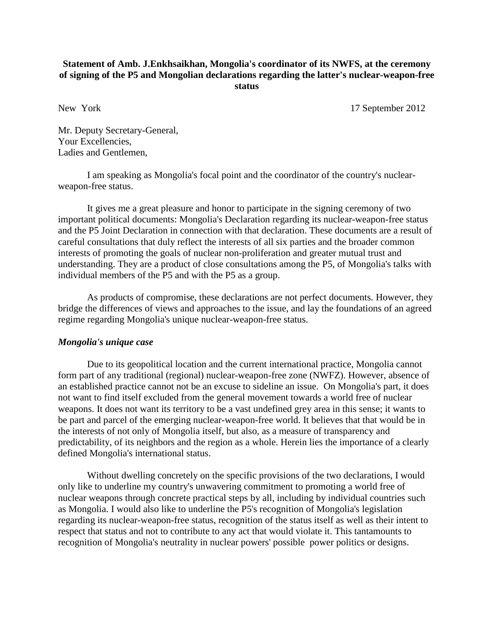## **Statement of Amb. J.Enkhsaikhan, Mongolia's coordinator of its NWFS, at the ceremony of signing of the P5 and Mongolian declarations regarding the latter's nuclear-weapon-free status**

New York 17 September 2012

Mr. Deputy Secretary-General, Your Excellencies, Ladies and Gentlemen,

I am speaking as Mongolia's focal point and the coordinator of the country's nuclearweapon-free status.

It gives me a great pleasure and honor to participate in the signing ceremony of two important political documents: Mongolia's Declaration regarding its nuclear-weapon-free status and the P5 Joint Declaration in connection with that declaration. These documents are a result of careful consultations that duly reflect the interests of all six parties and the broader common interests of promoting the goals of nuclear non-proliferation and greater mutual trust and understanding. They are a product of close consultations among the P5, of Mongolia's talks with individual members of the P5 and with the P5 as a group.

As products of compromise, these declarations are not perfect documents. However, they bridge the differences of views and approaches to the issue, and lay the foundations of an agreed regime regarding Mongolia's unique nuclear-weapon-free status.

## *Mongolia's unique case*

Due to its geopolitical location and the current international practice, Mongolia cannot form part of any traditional (regional) nuclear-weapon-free zone (NWFZ). However, absence of an established practice cannot not be an excuse to sideline an issue. On Mongolia's part, it does not want to find itself excluded from the general movement towards a world free of nuclear weapons. It does not want its territory to be a vast undefined grey area in this sense; it wants to be part and parcel of the emerging nuclear-weapon-free world. It believes that that would be in the interests of not only of Mongolia itself, but also, as a measure of transparency and predictability, of its neighbors and the region as a whole. Herein lies the importance of a clearly defined Mongolia's international status.

Without dwelling concretely on the specific provisions of the two declarations, I would only like to underline my country's unwavering commitment to promoting a world free of nuclear weapons through concrete practical steps by all, including by individual countries such as Mongolia. I would also like to underline the P5's recognition of Mongolia's legislation regarding its nuclear-weapon-free status, recognition of the status itself as well as their intent to respect that status and not to contribute to any act that would violate it. This tantamounts to recognition of Mongolia's neutrality in nuclear powers' possible power politics or designs.